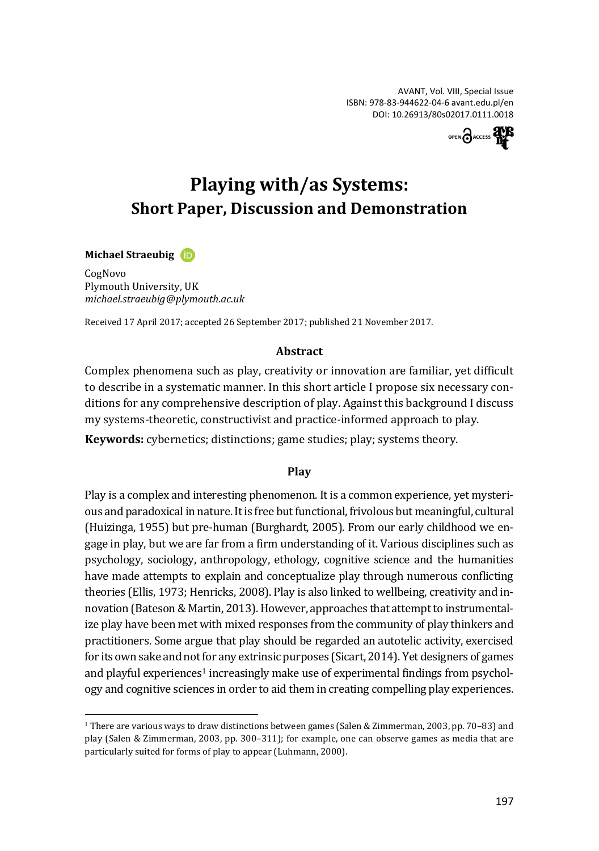AVANT, Vol. VIII, Special Issue ISBN: 978-83-944622-04-6 [avant.edu.pl/en](http://avant.edu.pl/en/) DOI: [10.26913/80s02017.0111.0018](http://doi.org/10.26913/80s02017.0111.0018)



# **Playing with/as Systems: Short Paper, Discussion and Demonstration**

#### **Michael Straeubig**

 $\overline{a}$ 

CogNovo Plymouth University, UK *michael.straeubig-@-plymouth.ac.uk*

Received 17 April 2017; accepted 26 September 2017; published 21 November 2017.

#### **Abstract**

Complex phenomena such as play, creativity or innovation are familiar, yet difficult to describe in a systematic manner. In this short article I propose six necessary conditions for any comprehensive description of play. Against this background I discuss my systems-theoretic, constructivist and practice-informed approach to play.

**Keywords:** cybernetics; distinctions; game studies; play; systems theory.

#### **Play**

Play is a complex and interesting phenomenon. It is a common experience, yet mysterious and paradoxical in nature. It is free but functional, frivolous but meaningful, cultural (Huizinga, 1955) but pre-human (Burghardt, 2005). From our early childhood we engage in play, but we are far from a firm understanding of it. Various disciplines such as psychology, sociology, anthropology, ethology, cognitive science and the humanities have made attempts to explain and conceptualize play through numerous conflicting theories (Ellis, 1973; Henricks, 2008). Play is also linked to wellbeing, creativity and innovation (Bateson & Martin, 2013). However, approaches that attempt to instrumentalize play have been met with mixed responses from the community of play thinkers and practitioners. Some argue that play should be regarded an autotelic activity, exercised for its own sake and not for any extrinsic purposes (Sicart, 2014). Yet designers of games and playful experiences<sup>1</sup> increasingly make use of experimental findings from psychology and cognitive sciences in order to aid them in creating compelling play experiences.

<sup>1</sup> There are various ways to draw distinctions between games (Salen & Zimmerman, 2003, pp. 70–83) and play (Salen & Zimmerman, 2003, pp. 300–311); for example, one can observe games as media that are particularly suited for forms of play to appear (Luhmann, 2000).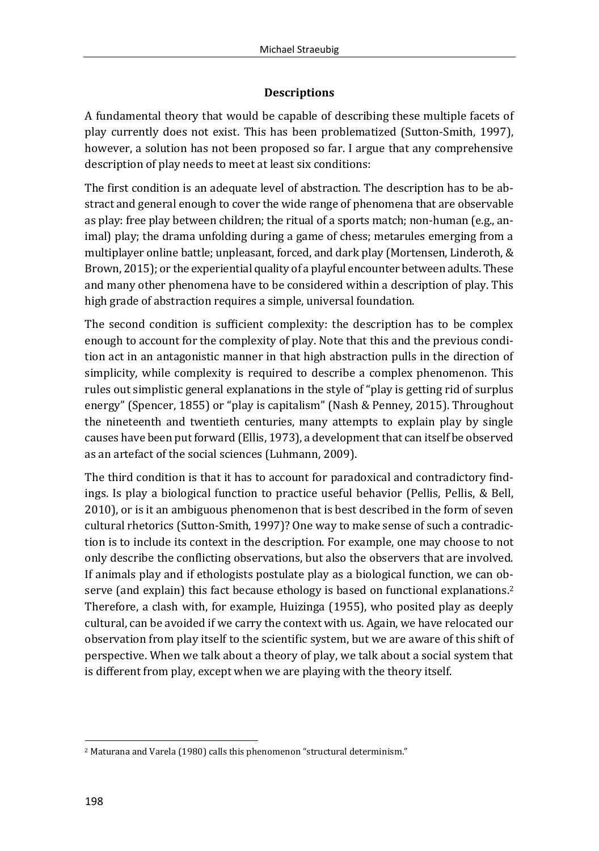# **Descriptions**

A fundamental theory that would be capable of describing these multiple facets of play currently does not exist. This has been problematized (Sutton-Smith, 1997), however, a solution has not been proposed so far. I argue that any comprehensive description of play needs to meet at least six conditions:

The first condition is an adequate level of abstraction. The description has to be abstract and general enough to cover the wide range of phenomena that are observable as play: free play between children; the ritual of a sports match; non-human (e.g., animal) play; the drama unfolding during a game of chess; metarules emerging from a multiplayer online battle; unpleasant, forced, and dark play (Mortensen, Linderoth, & Brown, 2015); or the experiential quality of a playful encounter between adults. These and many other phenomena have to be considered within a description of play. This high grade of abstraction requires a simple, universal foundation.

The second condition is sufficient complexity: the description has to be complex enough to account for the complexity of play. Note that this and the previous condition act in an antagonistic manner in that high abstraction pulls in the direction of simplicity, while complexity is required to describe a complex phenomenon. This rules out simplistic general explanations in the style of "play is getting rid of surplus energy" (Spencer, 1855) or "play is capitalism" (Nash & Penney, 2015). Throughout the nineteenth and twentieth centuries, many attempts to explain play by single causes have been put forward (Ellis, 1973), a development that can itself be observed as an artefact of the social sciences (Luhmann, 2009).

The third condition is that it has to account for paradoxical and contradictory findings. Is play a biological function to practice useful behavior (Pellis, Pellis, & Bell, 2010), or is it an ambiguous phenomenon that is best described in the form of seven cultural rhetorics (Sutton-Smith, 1997)? One way to make sense of such a contradiction is to include its context in the description. For example, one may choose to not only describe the conflicting observations, but also the observers that are involved. If animals play and if ethologists postulate play as a biological function, we can observe (and explain) this fact because ethology is based on functional explanations. 2 Therefore, a clash with, for example, Huizinga (1955), who posited play as deeply cultural, can be avoided if we carry the context with us. Again, we have relocated our observation from play itself to the scientific system, but we are aware of this shift of perspective. When we talk about a theory of play, we talk about a social system that is different from play, except when we are playing with the theory itself.

 $\overline{a}$ <sup>2</sup> Maturana and Varela (1980) calls this phenomenon "structural determinism."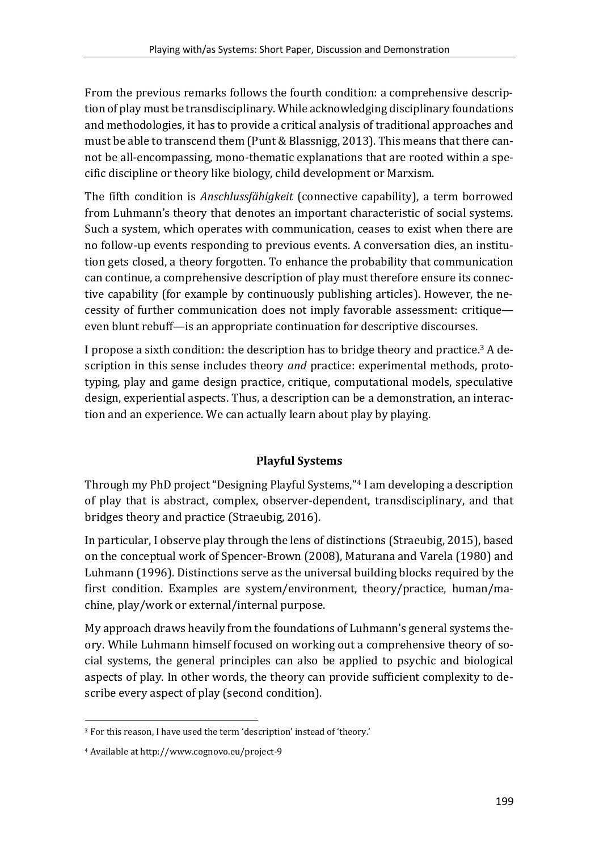From the previous remarks follows the fourth condition: a comprehensive description of play must be transdisciplinary. While acknowledging disciplinary foundations and methodologies, it has to provide a critical analysis of traditional approaches and must be able to transcend them (Punt & Blassnigg, 2013). This means that there cannot be all-encompassing, mono-thematic explanations that are rooted within a specific discipline or theory like biology, child development or Marxism.

The fifth condition is *Anschlussfähigkeit* (connective capability), a term borrowed from Luhmann's theory that denotes an important characteristic of social systems. Such a system, which operates with communication, ceases to exist when there are no follow-up events responding to previous events. A conversation dies, an institution gets closed, a theory forgotten. To enhance the probability that communication can continue, a comprehensive description of play must therefore ensure its connective capability (for example by continuously publishing articles). However, the necessity of further communication does not imply favorable assessment: critique even blunt rebuff—is an appropriate continuation for descriptive discourses.

I propose a sixth condition: the description has to bridge theory and practice. <sup>3</sup> A description in this sense includes theory *and* practice: experimental methods, prototyping, play and game design practice, critique, computational models, speculative design, experiential aspects. Thus, a description can be a demonstration, an interaction and an experience. We can actually learn about play by playing.

# **Playful Systems**

Through my PhD project "Designing Playful Systems," <sup>4</sup> I am developing a description of play that is abstract, complex, observer-dependent, transdisciplinary, and that bridges theory and practice (Straeubig, 2016).

In particular, I observe play through the lens of distinctions (Straeubig, 2015), based on the conceptual work of Spencer-Brown (2008), Maturana and Varela (1980) and Luhmann (1996). Distinctions serve as the universal building blocks required by the first condition. Examples are system/environment, theory/practice, human/machine, play/work or external/internal purpose.

My approach draws heavily from the foundations of Luhmann's general systems theory. While Luhmann himself focused on working out a comprehensive theory of social systems, the general principles can also be applied to psychic and biological aspects of play. In other words, the theory can provide sufficient complexity to describe every aspect of play (second condition).

 $\overline{a}$ 

<sup>3</sup> For this reason, I have used the term 'description' instead of 'theory.'

<sup>4</sup> Available a[t http://www.cognovo.eu/project-9](http://www.cognovo.eu/project-9)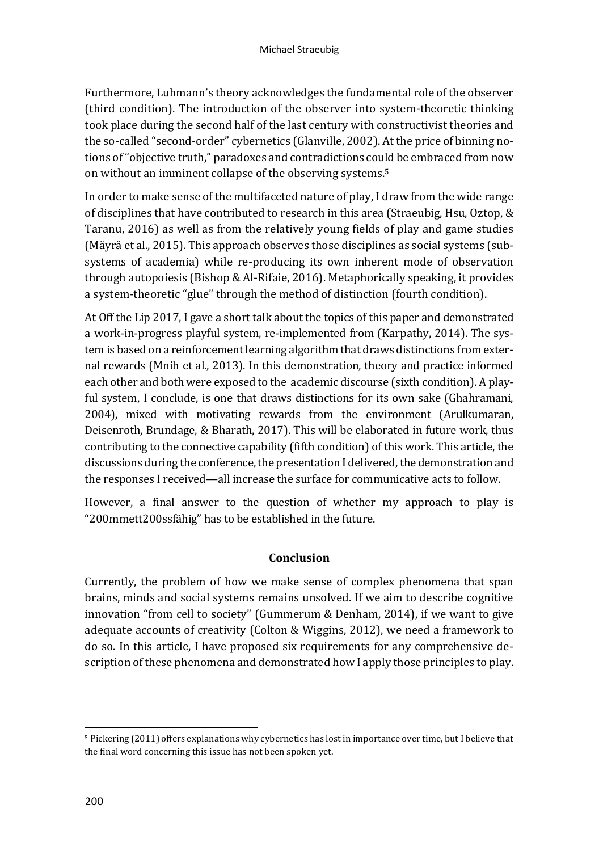Furthermore, Luhmann's theory acknowledges the fundamental role of the observer (third condition). The introduction of the observer into system-theoretic thinking took place during the second half of the last century with constructivist theories and the so-called "second-order" cybernetics (Glanville, 2002). At the price of binning notions of "objective truth," paradoxes and contradictions could be embraced from now on without an imminent collapse of the observing systems. 5

In order to make sense of the multifaceted nature of play, I draw from the wide range of disciplines that have contributed to research in this area (Straeubig, Hsu, Oztop, & Taranu, 2016) as well as from the relatively young fields of play and game studies (Mäyrä et al., 2015). This approach observes those disciplines as social systems (subsystems of academia) while re-producing its own inherent mode of observation through autopoiesis (Bishop & Al-Rifaie, 2016). Metaphorically speaking, it provides a system-theoretic "glue" through the method of distinction (fourth condition).

At Off the Lip 2017, I gave a short talk about the topics of this paper and demonstrated a work-in-progress playful system, re-implemented from (Karpathy, 2014). The system is based on a reinforcement learning algorithm that draws distinctions from external rewards (Mnih et al., 2013). In this demonstration, theory and practice informed each other and both were exposed to the academic discourse (sixth condition). A playful system, I conclude, is one that draws distinctions for its own sake (Ghahramani, 2004), mixed with motivating rewards from the environment (Arulkumaran, Deisenroth, Brundage, & Bharath, 2017). This will be elaborated in future work, thus contributing to the connective capability (fifth condition) of this work. This article, the discussions during the conference, the presentation I delivered, the demonstration and the responses I received—all increase the surface for communicative acts to follow.

However, a final answer to the question of whether my approach to play is "200mmett200ssfähig" has to be established in the future.

## **Conclusion**

Currently, the problem of how we make sense of complex phenomena that span brains, minds and social systems remains unsolved. If we aim to describe cognitive innovation "from cell to society" (Gummerum & Denham, 2014), if we want to give adequate accounts of creativity (Colton & Wiggins, 2012), we need a framework to do so. In this article, I have proposed six requirements for any comprehensive description of these phenomena and demonstrated how I apply those principles to play.

 $\overline{a}$ 

<sup>5</sup> Pickering (2011) offers explanations why cybernetics has lost in importance over time, but I believe that the final word concerning this issue has not been spoken yet.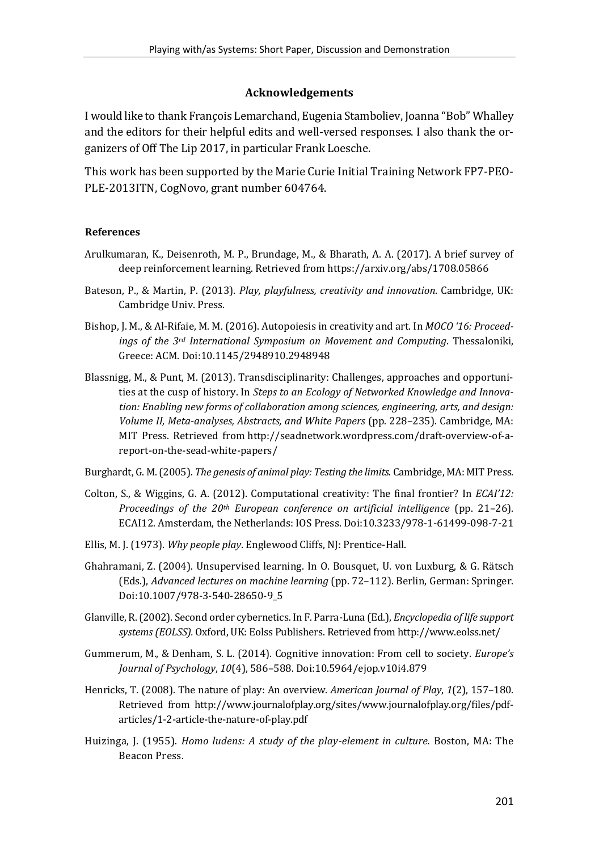### **Acknowledgements**

I would like to thank François Lemarchand, Eugenia Stamboliev, Joanna "Bob" Whalley and the editors for their helpful edits and well-versed responses. I also thank the organizers of Off The Lip 2017, in particular Frank Loesche.

This work has been supported by the Marie Curie Initial Training Network FP7-PEO-PLE-2013ITN, CogNovo, grant number 604764.

#### **References**

- Arulkumaran, K., Deisenroth, M. P., Brundage, M., & Bharath, A. A. (2017). A brief survey of deep reinforcement learning. Retrieved fro[m https://arxiv.org/abs/1708.05866](https://arxiv.org/abs/1708.05866)
- Bateson, P., & Martin, P. (2013). *Play, playfulness, creativity and innovation*. Cambridge, UK: Cambridge Univ. Press.
- Bishop, J. M., & Al-Rifaie, M. M. (2016). Autopoiesis in creativity and art. In *MOCO '16: Proceedings of the 3rd International Symposium on Movement and Computing*. Thessaloniki, Greece: ACM. Do[i:10.1145/2948910.2948948](http://doi.org/10.1145/2948910.2948948)
- Blassnigg, M., & Punt, M. (2013). Transdisciplinarity: Challenges, approaches and opportunities at the cusp of history. In *Steps to an Ecology of Networked Knowledge and Innovation: Enabling new forms of collaboration among sciences, engineering, arts, and design: Volume II, Meta-analyses, Abstracts, and White Papers* (pp. 228–235). Cambridge, MA: MIT Press. Retrieved from http://seadnetwork.wordpress.com/draft-overview-of-areport-on-the-sead-white-papers/
- Burghardt, G. M. (2005). *The genesis of animal play: Testing the limits*. Cambridge, MA: MIT Press.
- Colton, S., & Wiggins, G. A. (2012). Computational creativity: The final frontier? In *ECAI'12: Proceedings of the 20th European conference on artificial intelligence* (pp. 21–26). ECAI12. Amsterdam, the Netherlands: IOS Press. Doi:10.3233/978-1-61499-098-7-21
- Ellis, M. J. (1973). *Why people play*. Englewood Cliffs, NJ: Prentice-Hall.
- Ghahramani, Z. (2004). Unsupervised learning. In O. Bousquet, U. von Luxburg, & G. Rätsch (Eds.), *Advanced lectures on machine learning* (pp. 72–112). Berlin, German: Springer. Doi[:10.1007/978-3-540-28650-9\\_5](https://doi.org/10.1007/978-3-540-28650-9_5)
- Glanville, R. (2002). Second order cybernetics. In F. Parra-Luna (Ed.), *Encyclopedia of life support systems (EOLSS).* Oxford, UK: Eolss Publishers. Retrieved fro[m http://www.eolss.net/](http://www.eolss.net/)
- Gummerum, M., & Denham, S. L. (2014). Cognitive innovation: From cell to society. *Europe's Journal of Psychology*, *10*(4), 586–588. Do[i:10.5964/ejop.v10i4.879](https://doi.org/10.5964/ejop.v10i4.879)
- Henricks, T. (2008). The nature of play: An overview. *American Journal of Play*, *1*(2), 157–180. Retrieved from [http://www.journalofplay.org/sites/www.journalofplay.org/files/pdf](http://www.journalofplay.org/sites/www.journalofplay.org/files/pdf-articles/1-2-article-the-nature-of-play.pdf)[articles/1-2-article-the-nature-of-play.pdf](http://www.journalofplay.org/sites/www.journalofplay.org/files/pdf-articles/1-2-article-the-nature-of-play.pdf)
- Huizinga, J. (1955). *Homo ludens: A study of the play-element in culture.* Boston, MA: The Beacon Press.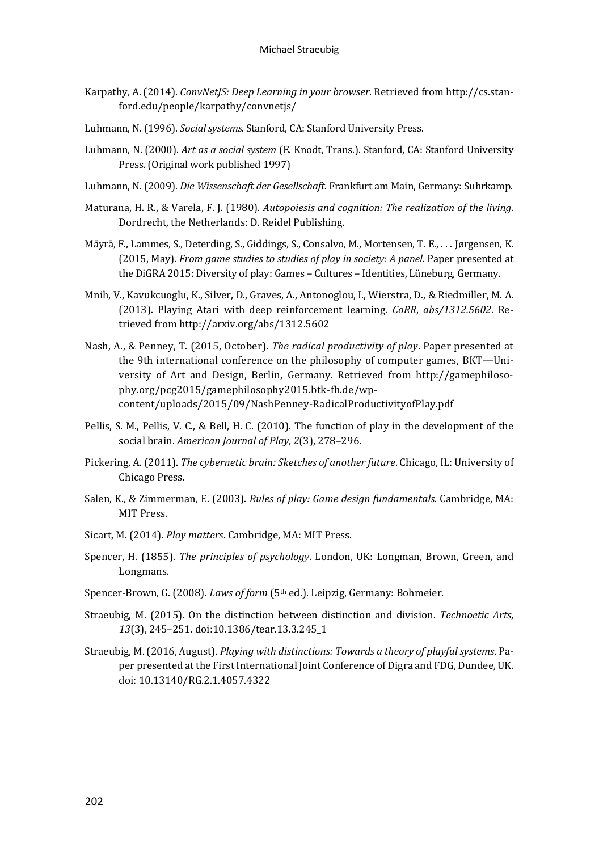- Karpathy, A. (2014). *ConvNetJS: Deep Learning in your browser*. Retrieved fro[m http://cs.stan](http://cs.stanford.edu/people/karpathy/convnetjs/)[ford.edu/people/karpathy/convnetjs/](http://cs.stanford.edu/people/karpathy/convnetjs/)
- Luhmann, N. (1996). *Social systems*. Stanford, CA: Stanford University Press.
- Luhmann, N. (2000). *Art as a social system* (E. Knodt, Trans.). Stanford, CA: Stanford University Press. (Original work published 1997)
- Luhmann, N. (2009). *Die Wissenschaft der Gesellschaft*. Frankfurt am Main, Germany: Suhrkamp.
- Maturana, H. R., & Varela, F. J. (1980). *Autopoiesis and cognition: The realization of the living*. Dordrecht, the Netherlands: D. Reidel Publishing.
- Mäyrä, F., Lammes, S., Deterding, S., Giddings, S., Consalvo, M., Mortensen, T. E., . . . Jørgensen, K. (2015, May). *From game studies to studies of play in society: A panel*. Paper presented at the DiGRA 2015: Diversity of play: Games – Cultures – Identities, Lüneburg, Germany.
- Mnih, V., Kavukcuoglu, K., Silver, D., Graves, A., Antonoglou, I., Wierstra, D., & Riedmiller, M. A. (2013). Playing Atari with deep reinforcement learning. *CoRR*, *abs/1312.5602*. Retrieved fro[m http://arxiv.org/abs/1312.5602](http://arxiv.org/abs/1312.5602)
- Nash, A., & Penney, T. (2015, October). *The radical productivity of play*. Paper presented at the 9th international conference on the philosophy of computer games, BKT—University of Art and Design, Berlin, Germany. Retrieved from [http://gamephiloso](http://gamephilosophy.org/pcg2015/gamephilosophy2015.btk-fh.de/wp-content/uploads/2015/09/NashPenney-RadicalProductivityofPlay.pdf)[phy.org/pcg2015/gamephilosophy2015.btk-fh.de/wp](http://gamephilosophy.org/pcg2015/gamephilosophy2015.btk-fh.de/wp-content/uploads/2015/09/NashPenney-RadicalProductivityofPlay.pdf)[content/uploads/2015/09/NashPenney-RadicalProductivityofPlay.pdf](http://gamephilosophy.org/pcg2015/gamephilosophy2015.btk-fh.de/wp-content/uploads/2015/09/NashPenney-RadicalProductivityofPlay.pdf)
- Pellis, S. M., Pellis, V. C., & Bell, H. C. (2010). The function of play in the development of the social brain. *American Journal of Play*, *2*(3), 278–296.
- Pickering, A. (2011). *The cybernetic brain: Sketches of another future*. Chicago, IL: University of Chicago Press.
- Salen, K., & Zimmerman, E. (2003). *Rules of play: Game design fundamentals*. Cambridge, MA: MIT Press.
- Sicart, M. (2014). *Play matters*. Cambridge, MA: MIT Press.
- Spencer, H. (1855). *The principles of psychology*. London, UK: Longman, Brown, Green, and Longmans.
- Spencer-Brown, G. (2008). *Laws of form* (5th ed.). Leipzig, Germany: Bohmeier.
- Straeubig, M. (2015). On the distinction between distinction and division. *Technoetic Arts*, *13*(3), 245–251. doi[:10.1386/tear.13.3.245\\_1](https://doi.org/10.1386/tear.13.3.245_1)
- Straeubig, M. (2016, August). *Playing with distinctions: Towards a theory of playful systems*. Paper presented at the First International Joint Conference of Digra and FDG, Dundee, UK. doi: 10.13140/RG.2.1.4057.4322